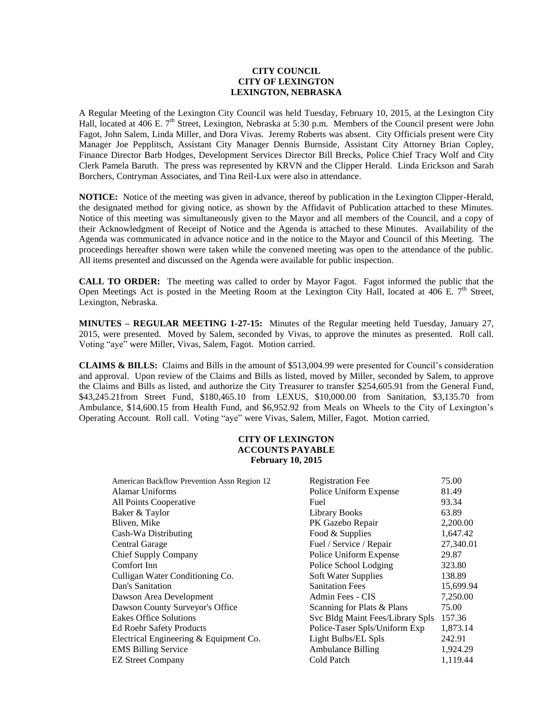### **CITY COUNCIL CITY OF LEXINGTON LEXINGTON, NEBRASKA**

A Regular Meeting of the Lexington City Council was held Tuesday, February 10, 2015, at the Lexington City Hall, located at 406 E. 7<sup>th</sup> Street, Lexington, Nebraska at 5:30 p.m. Members of the Council present were John Fagot, John Salem, Linda Miller, and Dora Vivas. Jeremy Roberts was absent. City Officials present were City Manager Joe Pepplitsch, Assistant City Manager Dennis Burnside, Assistant City Attorney Brian Copley, Finance Director Barb Hodges, Development Services Director Bill Brecks, Police Chief Tracy Wolf and City Clerk Pamela Baruth. The press was represented by KRVN and the Clipper Herald. Linda Erickson and Sarah Borchers, Contryman Associates, and Tina Reil-Lux were also in attendance.

**NOTICE:** Notice of the meeting was given in advance, thereof by publication in the Lexington Clipper-Herald, the designated method for giving notice, as shown by the Affidavit of Publication attached to these Minutes. Notice of this meeting was simultaneously given to the Mayor and all members of the Council, and a copy of their Acknowledgment of Receipt of Notice and the Agenda is attached to these Minutes. Availability of the Agenda was communicated in advance notice and in the notice to the Mayor and Council of this Meeting. The proceedings hereafter shown were taken while the convened meeting was open to the attendance of the public. All items presented and discussed on the Agenda were available for public inspection.

**CALL TO ORDER:** The meeting was called to order by Mayor Fagot. Fagot informed the public that the Open Meetings Act is posted in the Meeting Room at the Lexington City Hall, located at 406 E.  $7<sup>th</sup>$  Street, Lexington, Nebraska.

**MINUTES – REGULAR MEETING 1-27-15:** Minutes of the Regular meeting held Tuesday, January 27, 2015, were presented. Moved by Salem, seconded by Vivas, to approve the minutes as presented. Roll call. Voting "aye" were Miller, Vivas, Salem, Fagot. Motion carried.

**CLAIMS & BILLS:** Claims and Bills in the amount of \$513,004.99 were presented for Council's consideration and approval. Upon review of the Claims and Bills as listed, moved by Miller, seconded by Salem, to approve the Claims and Bills as listed, and authorize the City Treasurer to transfer \$254,605.91 from the General Fund, \$43,245.21from Street Fund, \$180,465.10 from LEXUS, \$10,000.00 from Sanitation, \$3,135.70 from Ambulance, \$14,600.15 from Health Fund, and \$6,952.92 from Meals on Wheels to the City of Lexington's Operating Account. Roll call. Voting "aye" were Vivas, Salem, Miller, Fagot. Motion carried.

# **CITY OF LEXINGTON ACCOUNTS PAYABLE February 10, 2015**

| American Backflow Prevention Assn Region 12 | <b>Registration Fee</b>          | 75.00     |
|---------------------------------------------|----------------------------------|-----------|
| Alamar Uniforms                             | Police Uniform Expense           | 81.49     |
| All Points Cooperative                      | Fuel                             | 93.34     |
| Baker & Taylor                              | <b>Library Books</b>             | 63.89     |
| Bliven, Mike                                | PK Gazebo Repair                 | 2,200.00  |
| Cash-Wa Distributing                        | Food & Supplies                  | 1,647.42  |
| Central Garage                              | Fuel / Service / Repair          | 27,340.01 |
| <b>Chief Supply Company</b>                 | Police Uniform Expense           | 29.87     |
| Comfort Inn                                 | Police School Lodging            | 323.80    |
| Culligan Water Conditioning Co.             | Soft Water Supplies              | 138.89    |
| Dan's Sanitation                            | <b>Sanitation Fees</b>           | 15,699.94 |
| Dawson Area Development                     | Admin Fees - CIS                 | 7,250.00  |
| Dawson County Surveyor's Office             | Scanning for Plats & Plans       | 75.00     |
| <b>Eakes Office Solutions</b>               | Svc Bldg Maint Fees/Library Spls | 157.36    |
| <b>Ed Roehr Safety Products</b>             | Police-Taser Spls/Uniform Exp    | 1,873.14  |
| Electrical Engineering & Equipment Co.      | Light Bulbs/EL Spls              | 242.91    |
| <b>EMS Billing Service</b>                  | <b>Ambulance Billing</b>         | 1,924.29  |
| <b>EZ Street Company</b>                    | Cold Patch                       | 1,119.44  |
|                                             |                                  |           |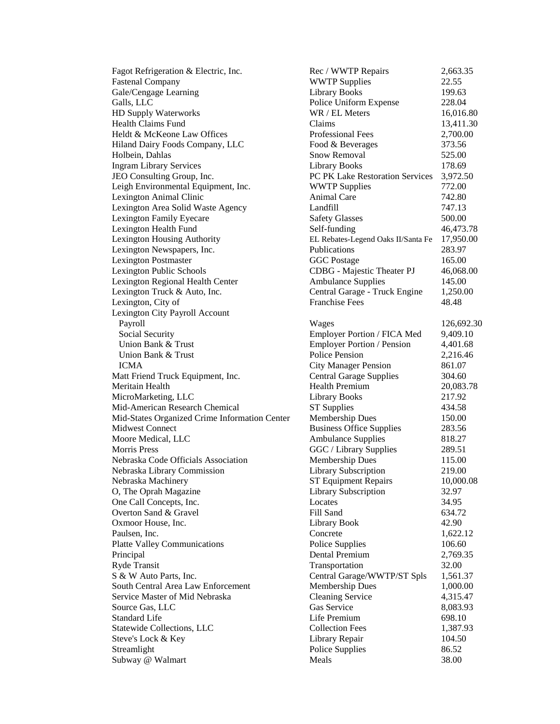Fastenal Company **Example 22.55** WWTP Supplies 22.55 Gale/Cengage Learning Library Books 199.63 Galls, LLC **Commentary Police Uniform Expense** 228.04 HD Supply Waterworks WR / EL Meters 16,016.80 Health Claims Fund Claims 13,411.30 Heldt & McKeone Law Offices **Professional Fees** 2,700.00 Hiland Dairy Foods Company, LLC Food & Beverages 373.56 Holbein, Dahlas Snow Removal 525.00 Ingram Library Services Library Books 178.69 JEO Consulting Group, Inc. PC PK Lake Restoration Services 3,972.50 Leigh Environmental Equipment, Inc. WWTP Supplies 772.00 Lexington Animal Clinic and Animal Care 742.80 Lexington Area Solid Waste Agency Landfill 747.13 Lexington Family Eyecare Safety Glasses 500.00 Lexington Health Fund Self-funding 36,473.78 Lexington Housing Authority EL Rebates-Legend Oaks II/Santa Fe 17,950.00 Lexington Newspapers, Inc. Publications 283.97 Lexington Postmaster and GGC Postage 165.00 Lexington Public Schools CDBG - Majestic Theater PJ 46,068.00 Lexington Regional Health Center **Ambulance Supplies** 145.00 Lexington Truck & Auto, Inc. Central Garage - Truck Engine 1,250.00 Lexington, City of Franchise Fees 48.48 Lexington City Payroll Account Payroll **Wages** 226,692.30 Social Security Employer Portion / FICA Med 9,409.10 Union Bank & Trust **Employer Portion / Pension** 4,401.68 Union Bank & Trust Trust **Police Pension** 2,216.46 ICMA City Manager Pension 861.07 Matt Friend Truck Equipment, Inc. Central Garage Supplies 304.60 Meritain Health **Health Health** Premium 20.083.78 MicroMarketing, LLC Library Books 217.92 Mid-American Research Chemical ST Supplies 434.58 Mid-States Organized Crime Information Center Membership Dues 150.00 Midwest Connect **Business Office Supplies** 283.56 Moore Medical, LLC **Ambulance** Supplies 818.27 Morris Press 289.51 Nebraska Code Officials Association Membership Dues 115.00 Nebraska Library Commission Library Subscription 219.00 Nebraska Machinery ST Equipment Repairs 10,000.08 O, The Oprah Magazine Library Subscription 32.97 One Call Concepts, Inc. Locates 34.95 Overton Sand & Gravel **Fill Sand 634.72** Fill Sand 634.72 Oxmoor House, Inc. Library Book 42.90 Paulsen, Inc. 2018. Concrete 2018. Concrete 2018. Concrete 2018. 202.12 Platte Valley Communications **Police Supplies** 106.60 Principal Dental Premium 2,769.35 Ryde Transit and Transportation 32.00 S & W Auto Parts, Inc. Central Garage/WWTP/ST Spls 1,561.37 South Central Area Law Enforcement Membership Dues 1,000.00 Service Master of Mid Nebraska Cleaning Service 4,315.47 Source Gas, LLC Gas Service 8,083.93 Standard Life 28.10 Statewide Collections, LLC Collection Fees 1,387.93 Steve's Lock & Key Library Repair 104.50 Streamlight 86.52

Fagot Refrigeration & Electric, Inc. Rec / WWTP Repairs 2,663.35 Subway @ Walmart 1988 Meals 28.00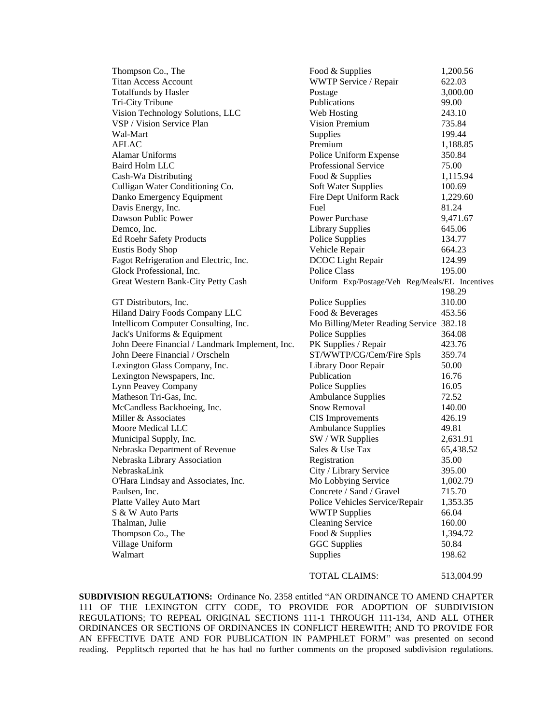| Thompson Co., The                               | Food & Supplies                                 | 1,200.56  |
|-------------------------------------------------|-------------------------------------------------|-----------|
| <b>Titan Access Account</b>                     | WWTP Service / Repair                           | 622.03    |
| <b>Totalfunds by Hasler</b>                     | Postage                                         | 3,000.00  |
| Tri-City Tribune                                | Publications                                    | 99.00     |
| Vision Technology Solutions, LLC                | Web Hosting                                     | 243.10    |
| VSP / Vision Service Plan                       | <b>Vision Premium</b>                           | 735.84    |
| Wal-Mart                                        | Supplies                                        | 199.44    |
| <b>AFLAC</b>                                    | Premium                                         | 1,188.85  |
| <b>Alamar Uniforms</b>                          | Police Uniform Expense                          | 350.84    |
| Baird Holm LLC                                  | Professional Service                            | 75.00     |
| Cash-Wa Distributing                            | Food & Supplies                                 | 1,115.94  |
| Culligan Water Conditioning Co.                 | Soft Water Supplies                             | 100.69    |
| Danko Emergency Equipment                       | Fire Dept Uniform Rack                          | 1,229.60  |
| Davis Energy, Inc.                              | Fuel                                            | 81.24     |
| Dawson Public Power                             | Power Purchase                                  | 9,471.67  |
| Demco, Inc.                                     | <b>Library Supplies</b>                         | 645.06    |
| <b>Ed Roehr Safety Products</b>                 | Police Supplies                                 | 134.77    |
| <b>Eustis Body Shop</b>                         | Vehicle Repair                                  | 664.23    |
| Fagot Refrigeration and Electric, Inc.          | DCOC Light Repair                               | 124.99    |
| Glock Professional, Inc.                        | Police Class                                    | 195.00    |
| Great Western Bank-City Petty Cash              | Uniform Exp/Postage/Veh Reg/Meals/EL Incentives |           |
|                                                 |                                                 | 198.29    |
| GT Distributors, Inc.                           | Police Supplies                                 | 310.00    |
| Hiland Dairy Foods Company LLC                  | Food & Beverages                                | 453.56    |
| Intellicom Computer Consulting, Inc.            | Mo Billing/Meter Reading Service 382.18         |           |
| Jack's Uniforms & Equipment                     | Police Supplies                                 | 364.08    |
| John Deere Financial / Landmark Implement, Inc. | PK Supplies / Repair                            | 423.76    |
| John Deere Financial / Orscheln                 | ST/WWTP/CG/Cem/Fire Spls                        | 359.74    |
| Lexington Glass Company, Inc.                   | Library Door Repair                             | 50.00     |
| Lexington Newspapers, Inc.                      | Publication                                     | 16.76     |
| Lynn Peavey Company                             | Police Supplies                                 | 16.05     |
| Matheson Tri-Gas, Inc.                          | <b>Ambulance Supplies</b>                       | 72.52     |
| McCandless Backhoeing, Inc.                     | <b>Snow Removal</b>                             | 140.00    |
| Miller & Associates                             | <b>CIS</b> Improvements                         | 426.19    |
| Moore Medical LLC                               | <b>Ambulance Supplies</b>                       | 49.81     |
| Municipal Supply, Inc.                          | SW / WR Supplies                                | 2,631.91  |
| Nebraska Department of Revenue                  | Sales & Use Tax                                 | 65,438.52 |
| Nebraska Library Association                    | Registration                                    | 35.00     |
| NebraskaLink                                    | City / Library Service                          | 395.00    |
| O'Hara Lindsay and Associates, Inc.             | Mo Lobbying Service                             | 1,002.79  |
| Paulsen, Inc.                                   | Concrete / Sand / Gravel                        | 715.70    |
| Platte Valley Auto Mart                         | Police Vehicles Service/Repair                  | 1,353.35  |
| S & W Auto Parts                                | <b>WWTP Supplies</b>                            | 66.04     |
| Thalman, Julie                                  | <b>Cleaning Service</b>                         | 160.00    |
| Thompson Co., The                               | Food & Supplies                                 | 1,394.72  |
| Village Uniform                                 | <b>GGC</b> Supplies                             | 50.84     |
| Walmart                                         | Supplies                                        | 198.62    |
|                                                 |                                                 |           |

### TOTAL CLAIMS: 513,004.99

**SUBDIVISION REGULATIONS:** Ordinance No. 2358 entitled "AN ORDINANCE TO AMEND CHAPTER 111 OF THE LEXINGTON CITY CODE, TO PROVIDE FOR ADOPTION OF SUBDIVISION REGULATIONS; TO REPEAL ORIGINAL SECTIONS 111-1 THROUGH 111-134, AND ALL OTHER ORDINANCES OR SECTIONS OF ORDINANCES IN CONFLICT HEREWITH; AND TO PROVIDE FOR AN EFFECTIVE DATE AND FOR PUBLICATION IN PAMPHLET FORM" was presented on second reading. Pepplitsch reported that he has had no further comments on the proposed subdivision regulations.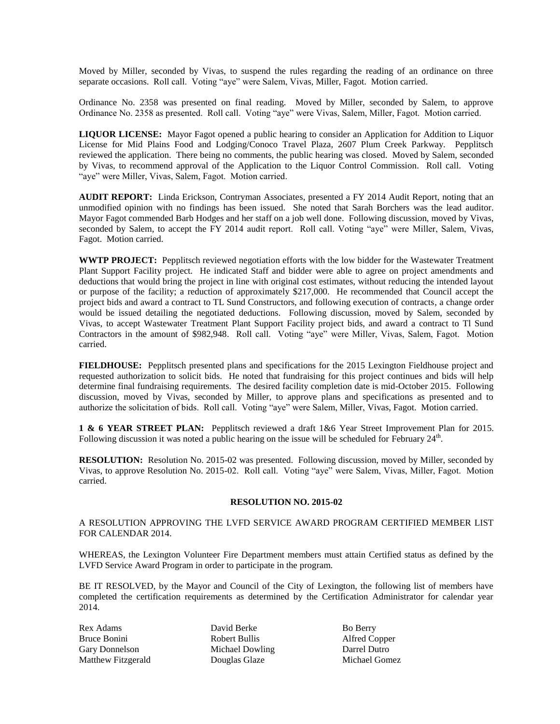Moved by Miller, seconded by Vivas, to suspend the rules regarding the reading of an ordinance on three separate occasions. Roll call. Voting "aye" were Salem, Vivas, Miller, Fagot. Motion carried.

Ordinance No. 2358 was presented on final reading. Moved by Miller, seconded by Salem, to approve Ordinance No. 2358 as presented. Roll call. Voting "aye" were Vivas, Salem, Miller, Fagot. Motion carried.

**LIQUOR LICENSE:** Mayor Fagot opened a public hearing to consider an Application for Addition to Liquor License for Mid Plains Food and Lodging/Conoco Travel Plaza, 2607 Plum Creek Parkway. Pepplitsch reviewed the application. There being no comments, the public hearing was closed. Moved by Salem, seconded by Vivas, to recommend approval of the Application to the Liquor Control Commission. Roll call. Voting "aye" were Miller, Vivas, Salem, Fagot. Motion carried.

**AUDIT REPORT:** Linda Erickson, Contryman Associates, presented a FY 2014 Audit Report, noting that an unmodified opinion with no findings has been issued. She noted that Sarah Borchers was the lead auditor. Mayor Fagot commended Barb Hodges and her staff on a job well done. Following discussion, moved by Vivas, seconded by Salem, to accept the FY 2014 audit report. Roll call. Voting "aye" were Miller, Salem, Vivas, Fagot. Motion carried.

**WWTP PROJECT:** Pepplitsch reviewed negotiation efforts with the low bidder for the Wastewater Treatment Plant Support Facility project. He indicated Staff and bidder were able to agree on project amendments and deductions that would bring the project in line with original cost estimates, without reducing the intended layout or purpose of the facility; a reduction of approximately \$217,000. He recommended that Council accept the project bids and award a contract to TL Sund Constructors, and following execution of contracts, a change order would be issued detailing the negotiated deductions. Following discussion, moved by Salem, seconded by Vivas, to accept Wastewater Treatment Plant Support Facility project bids, and award a contract to Tl Sund Contractors in the amount of \$982,948. Roll call. Voting "aye" were Miller, Vivas, Salem, Fagot. Motion carried.

**FIELDHOUSE:** Pepplitsch presented plans and specifications for the 2015 Lexington Fieldhouse project and requested authorization to solicit bids. He noted that fundraising for this project continues and bids will help determine final fundraising requirements. The desired facility completion date is mid-October 2015. Following discussion, moved by Vivas, seconded by Miller, to approve plans and specifications as presented and to authorize the solicitation of bids. Roll call. Voting "aye" were Salem, Miller, Vivas, Fagot. Motion carried.

**1 & 6 YEAR STREET PLAN:** Pepplitsch reviewed a draft 1&6 Year Street Improvement Plan for 2015. Following discussion it was noted a public hearing on the issue will be scheduled for February  $24<sup>th</sup>$ .

**RESOLUTION:** Resolution No. 2015-02 was presented. Following discussion, moved by Miller, seconded by Vivas, to approve Resolution No. 2015-02. Roll call. Voting "aye" were Salem, Vivas, Miller, Fagot. Motion carried.

#### **RESOLUTION NO. 2015-02**

A RESOLUTION APPROVING THE LVFD SERVICE AWARD PROGRAM CERTIFIED MEMBER LIST FOR CALENDAR 2014.

WHEREAS, the Lexington Volunteer Fire Department members must attain Certified status as defined by the LVFD Service Award Program in order to participate in the program.

BE IT RESOLVED, by the Mayor and Council of the City of Lexington, the following list of members have completed the certification requirements as determined by the Certification Administrator for calendar year 2014.

Bruce Bonini Robert Bullis Alfred Copper Gary Donnelson Michael Dowling Darrel Dutro Matthew Fitzgerald Douglas Glaze Michael Gomez

Rex Adams David Berke Bo Berry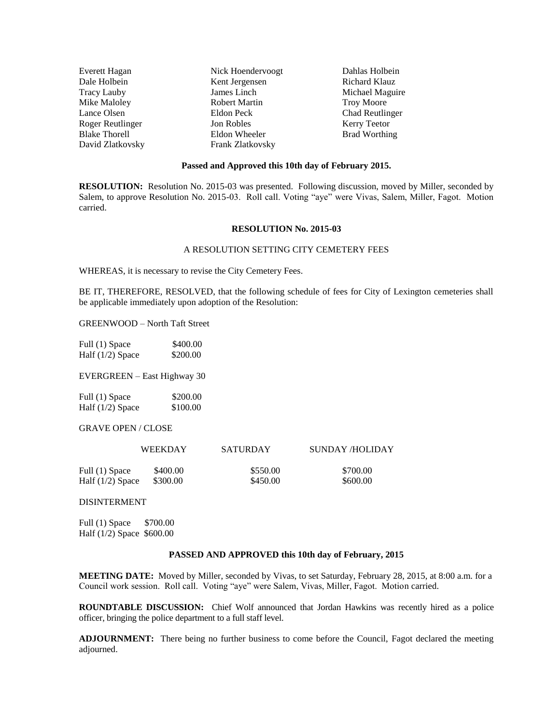| Everett Hagan        | Nick Hoendervoogt | Dahlas Holbein         |
|----------------------|-------------------|------------------------|
| Dale Holbein         | Kent Jergensen    | Richard Klauz          |
| <b>Tracy Lauby</b>   | James Linch       | Michael Maguire        |
| Mike Maloley         | Robert Martin     | <b>Troy Moore</b>      |
| Lance Olsen          | Eldon Peck        | <b>Chad Reutlinger</b> |
| Roger Reutlinger     | Jon Robles        | Kerry Teetor           |
| <b>Blake Thorell</b> | Eldon Wheeler     | <b>Brad Worthing</b>   |
| David Zlatkovsky     | Frank Zlatkovsky  |                        |

#### **Passed and Approved this 10th day of February 2015.**

**RESOLUTION:** Resolution No. 2015-03 was presented. Following discussion, moved by Miller, seconded by Salem, to approve Resolution No. 2015-03. Roll call. Voting "aye" were Vivas, Salem, Miller, Fagot. Motion carried.

## **RESOLUTION No. 2015-03**

#### A RESOLUTION SETTING CITY CEMETERY FEES

WHEREAS, it is necessary to revise the City Cemetery Fees.

BE IT, THEREFORE, RESOLVED, that the following schedule of fees for City of Lexington cemeteries shall be applicable immediately upon adoption of the Resolution:

GREENWOOD – North Taft Street

Full (1) Space \$400.00 Half (1/2) Space \$200.00

EVERGREEN – East Highway 30

| Full (1) Space     | \$200.00 |
|--------------------|----------|
| Half $(1/2)$ Space | \$100.00 |

GRAVE OPEN / CLOSE

|                    | WEEKDAY  | <b>SATURDAY</b> | SUNDAY /HOLIDAY |
|--------------------|----------|-----------------|-----------------|
| Full (1) Space     | \$400.00 | \$550.00        | \$700.00        |
| Half $(1/2)$ Space | \$300.00 | \$450.00        | \$600.00        |

DISINTERMENT

Full (1) Space \$700.00 Half (1/2) Space \$600.00

#### **PASSED AND APPROVED this 10th day of February, 2015**

**MEETING DATE:** Moved by Miller, seconded by Vivas, to set Saturday, February 28, 2015, at 8:00 a.m. for a Council work session. Roll call. Voting "aye" were Salem, Vivas, Miller, Fagot. Motion carried.

**ROUNDTABLE DISCUSSION:** Chief Wolf announced that Jordan Hawkins was recently hired as a police officer, bringing the police department to a full staff level.

**ADJOURNMENT:** There being no further business to come before the Council, Fagot declared the meeting adjourned.